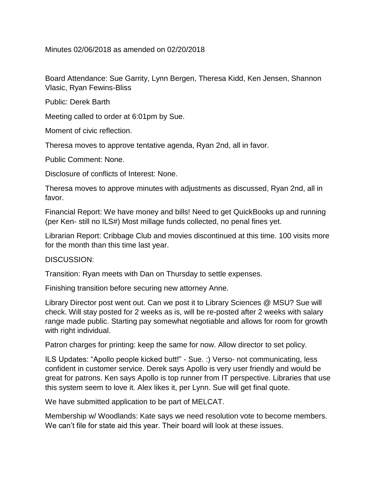Minutes 02/06/2018 as amended on 02/20/2018

Board Attendance: Sue Garrity, Lynn Bergen, Theresa Kidd, Ken Jensen, Shannon Vlasic, Ryan Fewins-Bliss

Public: Derek Barth

Meeting called to order at 6:01pm by Sue.

Moment of civic reflection.

Theresa moves to approve tentative agenda, Ryan 2nd, all in favor.

Public Comment: None.

Disclosure of conflicts of Interest: None.

Theresa moves to approve minutes with adjustments as discussed, Ryan 2nd, all in favor.

Financial Report: We have money and bills! Need to get QuickBooks up and running (per Ken- still no ILS#) Most millage funds collected, no penal fines yet.

Librarian Report: Cribbage Club and movies discontinued at this time. 100 visits more for the month than this time last year.

## DISCUSSION:

Transition: Ryan meets with Dan on Thursday to settle expenses.

Finishing transition before securing new attorney Anne.

Library Director post went out. Can we post it to Library Sciences @ MSU? Sue will check. Will stay posted for 2 weeks as is, will be re-posted after 2 weeks with salary range made public. Starting pay somewhat negotiable and allows for room for growth with right individual.

Patron charges for printing: keep the same for now. Allow director to set policy.

ILS Updates: "Apollo people kicked butt!" - Sue. :) Verso- not communicating, less confident in customer service. Derek says Apollo is very user friendly and would be great for patrons. Ken says Apollo is top runner from IT perspective. Libraries that use this system seem to love it. Alex likes it, per Lynn. Sue will get final quote.

We have submitted application to be part of MELCAT.

Membership w/ Woodlands: Kate says we need resolution vote to become members. We can't file for state aid this year. Their board will look at these issues.